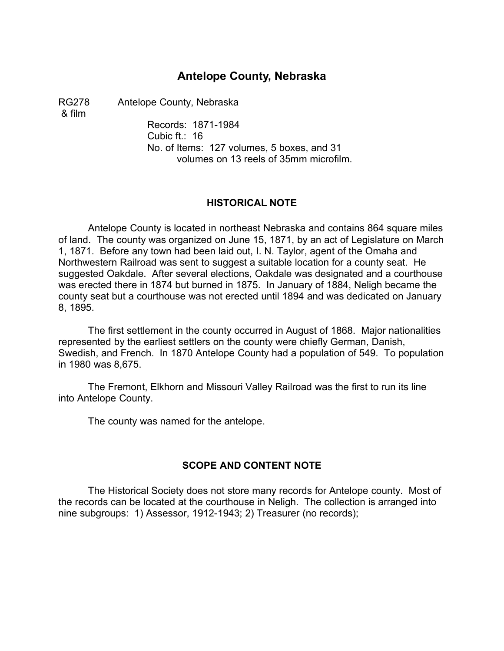## **Antelope County, Nebraska**

RG278 Antelope County, Nebraska

& film

Records: 1871-1984 Cubic ft.: 16 No. of Items: 127 volumes, 5 boxes, and 31 volumes on 13 reels of 35mm microfilm.

### **HISTORICAL NOTE**

Antelope County is located in northeast Nebraska and contains 864 square miles of land. The county was organized on June 15, 1871, by an act of Legislature on March 1, 1871. Before any town had been laid out, I. N. Taylor, agent of the Omaha and Northwestern Railroad was sent to suggest a suitable location for a county seat. He suggested Oakdale. After several elections, Oakdale was designated and a courthouse was erected there in 1874 but burned in 1875. In January of 1884, Neligh became the county seat but a courthouse was not erected until 1894 and was dedicated on January 8, 1895.

The first settlement in the county occurred in August of 1868. Major nationalities represented by the earliest settlers on the county were chiefly German, Danish, Swedish, and French. In 1870 Antelope County had a population of 549. To population in 1980 was 8,675.

The Fremont, Elkhorn and Missouri Valley Railroad was the first to run its line into Antelope County.

The county was named for the antelope.

## **SCOPE AND CONTENT NOTE**

The Historical Society does not store many records for Antelope county. Most of the records can be located at the courthouse in Neligh. The collection is arranged into nine subgroups: 1) Assessor, 1912-1943; 2) Treasurer (no records);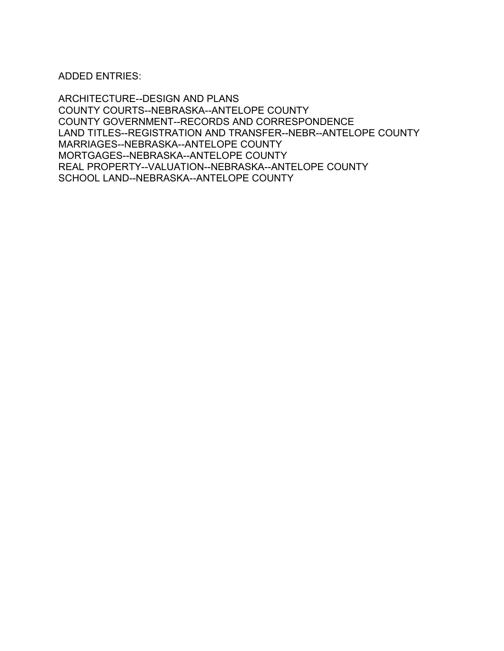ADDED ENTRIES:

ARCHITECTURE--DESIGN AND PLANS COUNTY COURTS--NEBRASKA--ANTELOPE COUNTY COUNTY GOVERNMENT--RECORDS AND CORRESPONDENCE LAND TITLES--REGISTRATION AND TRANSFER--NEBR--ANTELOPE COUNTY MARRIAGES--NEBRASKA--ANTELOPE COUNTY MORTGAGES--NEBRASKA--ANTELOPE COUNTY REAL PROPERTY--VALUATION--NEBRASKA--ANTELOPE COUNTY SCHOOL LAND--NEBRASKA--ANTELOPE COUNTY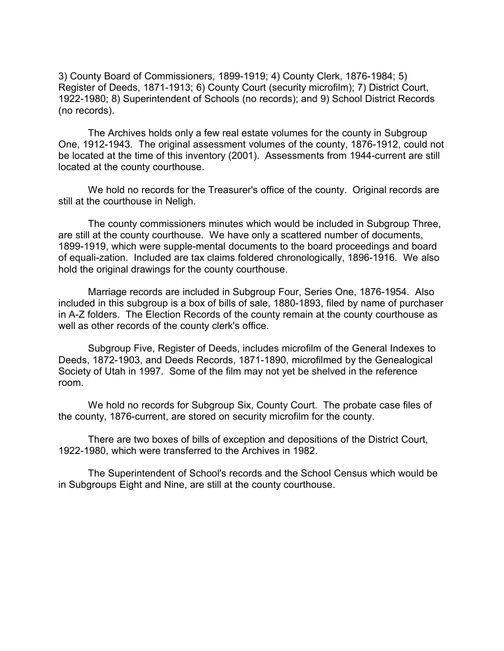3) County Board of Commissioners, 1899-1919; 4) County Clerk, 1876-1984; 5) Register of Deeds, 1871-1913; 6) County Court (security microfilm); 7) District Court, 1922-1980; 8) Superintendent of Schools (no records); and 9) School District Records (no records).

The Archives holds only a few real estate volumes for the county in Subgroup One, 1912-1943. The original assessment volumes of the county, 1876-1912, could not be located at the time of this inventory (2001). Assessments from 1944-current are still located at the county courthouse.

We hold no records for the Treasurer's office of the county. Original records are still at the courthouse in Neligh.

The county commissioners minutes which would be included in Subgroup Three, are still at the county courthouse. We have only a scattered number of documents, 1899-1919, which were supple-mental documents to the board proceedings and board of equali-zation. Included are tax claims foldered chronologically, 1896-1916. We also hold the original drawings for the county courthouse.

Marriage records are included in Subgroup Four, Series One, 1876-1954. Also included in this subgroup is a box of bills of sale, 1880-1893, filed by name of purchaser in A-Z folders. The Election Records of the county remain at the county courthouse as well as other records of the county clerk's office.

Subgroup Five, Register of Deeds, includes microfilm of the General Indexes to Deeds, 1872-1903, and Deeds Records, 1871-1890, microfilmed by the Genealogical Society of Utah in 1997. Some of the film may not yet be shelved in the reference room.

We hold no records for Subgroup Six, County Court. The probate case files of the county, 1876-current, are stored on security microfilm for the county.

There are two boxes of bills of exception and depositions of the District Court, 1922-1980, which were transferred to the Archives in 1982.

The Superintendent of School's records and the School Census which would be in Subgroups Eight and Nine, are still at the county courthouse.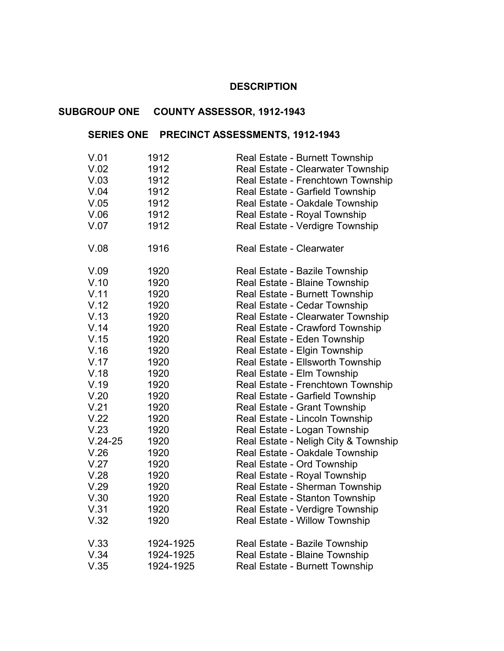#### **DESCRIPTION** �

## **SUBGROUP ONE COUNTY ASSESSOR, 1912-1943**

## **SERIES ONE PRECINCT ASSESSMENTS, 1912-1943**

| V.01      | 1912      | Real Estate - Burnett Township       |
|-----------|-----------|--------------------------------------|
| V.02      | 1912      | Real Estate - Clearwater Township    |
| V.03      | 1912      | Real Estate - Frenchtown Township    |
| V.04      | 1912      | Real Estate - Garfield Township      |
| V.05      | 1912      | Real Estate - Oakdale Township       |
| V.06      | 1912      | Real Estate - Royal Township         |
| V.07      | 1912      | Real Estate - Verdigre Township      |
| V.08      | 1916      | <b>Real Estate - Clearwater</b>      |
| V.09      | 1920      | Real Estate - Bazile Township        |
| V.10      | 1920      | Real Estate - Blaine Township        |
| V.11      | 1920      | Real Estate - Burnett Township       |
| V.12      | 1920      | Real Estate - Cedar Township         |
| V.13      | 1920      | Real Estate - Clearwater Township    |
| V.14      | 1920      | Real Estate - Crawford Township      |
| V.15      | 1920      | Real Estate - Eden Township          |
| V.16      | 1920      | Real Estate - Elgin Township         |
| V.17      | 1920      | Real Estate - Ellsworth Township     |
| V.18      | 1920      | Real Estate - Elm Township           |
| V.19      | 1920      | Real Estate - Frenchtown Township    |
| V.20      | 1920      | Real Estate - Garfield Township      |
| V.21      | 1920      | Real Estate - Grant Township         |
| V.22      | 1920      | Real Estate - Lincoln Township       |
| V.23      | 1920      | Real Estate - Logan Township         |
| $V.24-25$ | 1920      | Real Estate - Neligh City & Township |
| V.26      | 1920      | Real Estate - Oakdale Township       |
| V.27      | 1920      | Real Estate - Ord Township           |
| V.28      | 1920      | Real Estate - Royal Township         |
| V.29      | 1920      | Real Estate - Sherman Township       |
| V.30      | 1920      | Real Estate - Stanton Township       |
| V.31      | 1920      | Real Estate - Verdigre Township      |
| V.32      | 1920      | Real Estate - Willow Township        |
| V.33      | 1924-1925 | Real Estate - Bazile Township        |
| V.34      | 1924-1925 | Real Estate - Blaine Township        |
| V.35      | 1924-1925 | Real Estate - Burnett Township       |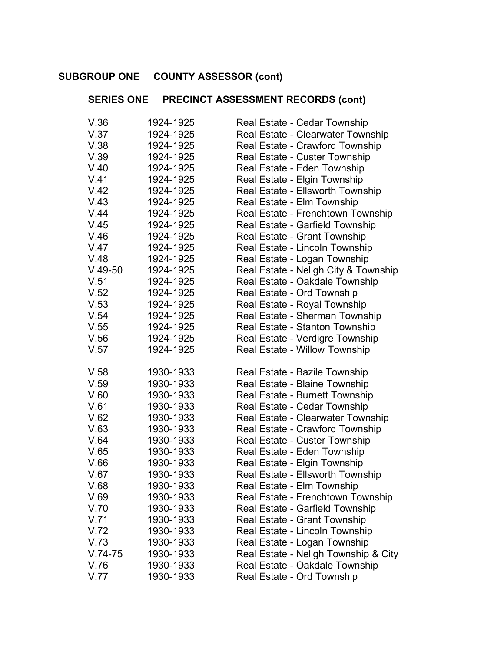#### **SUBGROUP ONE COUNTY ASSESSOR (cont)** �

## **SERIES ONE PRECINCT ASSESSMENT RECORDS (cont)**

| V.36      | 1924-1925 | Real Estate - Cedar Township         |
|-----------|-----------|--------------------------------------|
| V.37      | 1924-1925 | Real Estate - Clearwater Township    |
| V.38      | 1924-1925 | Real Estate - Crawford Township      |
| V.39      | 1924-1925 | Real Estate - Custer Township        |
| V.40      | 1924-1925 | Real Estate - Eden Township          |
| V.41      | 1924-1925 | Real Estate - Elgin Township         |
| V.42      | 1924-1925 | Real Estate - Ellsworth Township     |
| V.43      | 1924-1925 | Real Estate - Elm Township           |
| V.44      | 1924-1925 | Real Estate - Frenchtown Township    |
| V.45      | 1924-1925 | Real Estate - Garfield Township      |
| V.46      | 1924-1925 | Real Estate - Grant Township         |
| V.47      | 1924-1925 | Real Estate - Lincoln Township       |
| V.48      | 1924-1925 | Real Estate - Logan Township         |
| $V.49-50$ | 1924-1925 | Real Estate - Neligh City & Township |
| V.51      | 1924-1925 | Real Estate - Oakdale Township       |
| V.52      | 1924-1925 | Real Estate - Ord Township           |
| V.53      | 1924-1925 | Real Estate - Royal Township         |
| V.54      | 1924-1925 | Real Estate - Sherman Township       |
| V.55      | 1924-1925 | Real Estate - Stanton Township       |
| V.56      | 1924-1925 | Real Estate - Verdigre Township      |
| V.57      | 1924-1925 | Real Estate - Willow Township        |
|           |           |                                      |
| V.58      | 1930-1933 | Real Estate - Bazile Township        |
| V.59      | 1930-1933 | Real Estate - Blaine Township        |
| V.60      | 1930-1933 | Real Estate - Burnett Township       |
| V.61      | 1930-1933 | Real Estate - Cedar Township         |
| V.62      | 1930-1933 | Real Estate - Clearwater Township    |
| V.63      | 1930-1933 | Real Estate - Crawford Township      |
| V.64      | 1930-1933 | Real Estate - Custer Township        |
| V.65      | 1930-1933 | Real Estate - Eden Township          |
| V.66      | 1930-1933 | Real Estate - Elgin Township         |
| V.67      | 1930-1933 | Real Estate - Ellsworth Township     |
| V.68      | 1930-1933 | Real Estate - Elm Township           |
| V.69      | 1930-1933 | Real Estate - Frenchtown Township    |
| V.70      | 1930-1933 | Real Estate - Garfield Township      |
| V.71      | 1930-1933 | Real Estate - Grant Township         |
| V.72      | 1930-1933 | Real Estate - Lincoln Township       |
| V.73      | 1930-1933 | Real Estate - Logan Township         |
| $V.74-75$ | 1930-1933 | Real Estate - Neligh Township & City |
| V.76      | 1930-1933 | Real Estate - Oakdale Township       |
| V.77      | 1930-1933 | Real Estate - Ord Township           |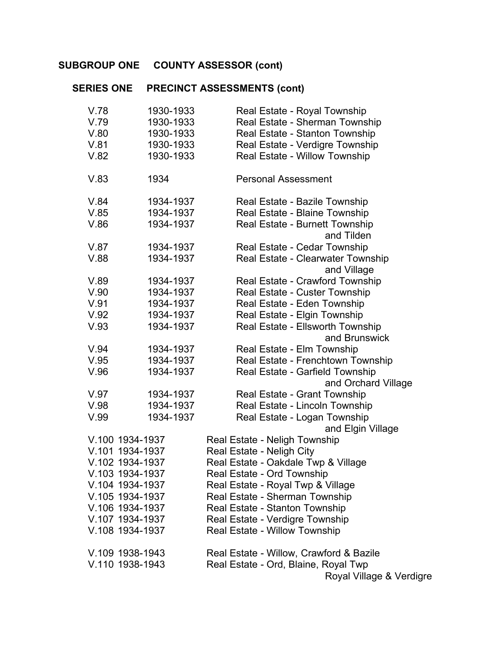# **SUBGROUP ONE COUNTY ASSESSOR (cont)**

# **SERIES ONE PRECINCT ASSESSMENTS (cont)**

| 1930-1933<br>V.78 | Real Estate - Royal Township                     |
|-------------------|--------------------------------------------------|
| V.79<br>1930-1933 | Real Estate - Sherman Township                   |
| V.80<br>1930-1933 | Real Estate - Stanton Township                   |
| V.81<br>1930-1933 | Real Estate - Verdigre Township                  |
| V.82<br>1930-1933 | Real Estate - Willow Township                    |
|                   |                                                  |
| V.83<br>1934      | <b>Personal Assessment</b>                       |
|                   |                                                  |
| V.84<br>1934-1937 | Real Estate - Bazile Township                    |
| V.85<br>1934-1937 | Real Estate - Blaine Township                    |
| V.86<br>1934-1937 | Real Estate - Burnett Township                   |
|                   | and Tilden                                       |
| V.87<br>1934-1937 | Real Estate - Cedar Township                     |
| V.88<br>1934-1937 | Real Estate - Clearwater Township<br>and Village |
| 1934-1937<br>V.89 | Real Estate - Crawford Township                  |
| V.90<br>1934-1937 | Real Estate - Custer Township                    |
| V.91<br>1934-1937 | Real Estate - Eden Township                      |
| V.92<br>1934-1937 | Real Estate - Elgin Township                     |
| V.93<br>1934-1937 | Real Estate - Ellsworth Township                 |
|                   | and Brunswick                                    |
| V.94<br>1934-1937 | Real Estate - Elm Township                       |
| V.95<br>1934-1937 | Real Estate - Frenchtown Township                |
| V.96<br>1934-1937 | Real Estate - Garfield Township                  |
|                   | and Orchard Village                              |
| V.97<br>1934-1937 | Real Estate - Grant Township                     |
| V.98<br>1934-1937 | Real Estate - Lincoln Township                   |
| V.99<br>1934-1937 | Real Estate - Logan Township                     |
|                   | and Elgin Village                                |
| V.100 1934-1937   | Real Estate - Neligh Township                    |
| V.101 1934-1937   | Real Estate - Neligh City                        |
| V.102 1934-1937   | Real Estate - Oakdale Twp & Village              |
| V.103 1934-1937   | Real Estate - Ord Township                       |
| V.104 1934-1937   | Real Estate - Royal Twp & Village                |
| V.105 1934-1937   | Real Estate - Sherman Township                   |
| V.106 1934-1937   | Real Estate - Stanton Township                   |
| V.107 1934-1937   | Real Estate - Verdigre Township                  |
| V.108 1934-1937   | Real Estate - Willow Township                    |
| V.109 1938-1943   | Real Estate - Willow, Crawford & Bazile          |
| V.110 1938-1943   | Real Estate - Ord, Blaine, Royal Twp             |
|                   | Royal Village & Verdigre                         |
|                   |                                                  |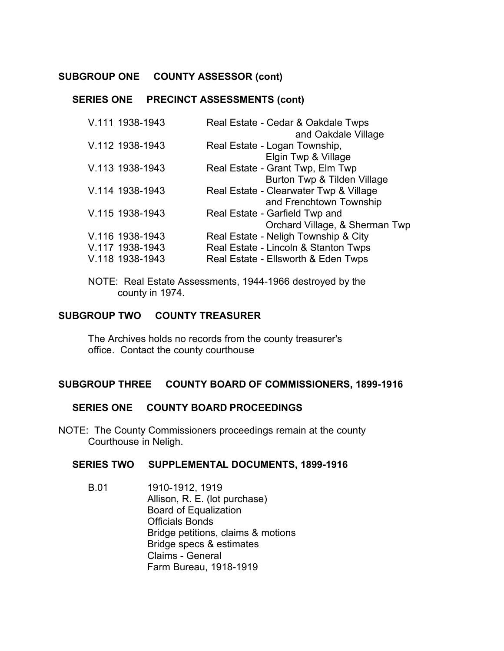#### **SUBGROUP ONE COUNTY ASSESSOR (cont)**

#### **SERIES ONE PRECINCT ASSESSMENTS (cont)**

| V.111 1938-1943                    | Real Estate - Cedar & Oakdale Twps<br>and Oakdale Village                   |
|------------------------------------|-----------------------------------------------------------------------------|
| V.112 1938-1943                    | Real Estate - Logan Township,                                               |
| V.113 1938-1943                    | Elgin Twp & Village<br>Real Estate - Grant Twp, Elm Twp                     |
| V.114 1938-1943                    | Burton Twp & Tilden Village<br>Real Estate - Clearwater Twp & Village       |
|                                    | and Frenchtown Township                                                     |
| V.115 1938-1943                    | Real Estate - Garfield Twp and<br>Orchard Village, & Sherman Twp            |
| V.116 1938-1943                    | Real Estate - Neligh Township & City                                        |
| V.117 1938-1943<br>V.118 1938-1943 | Real Estate - Lincoln & Stanton Twps<br>Real Estate - Ellsworth & Eden Twps |
|                                    |                                                                             |

NOTE: Real Estate Assessments, 1944-1966 destroyed by the county in 1974.

#### **SUBGROUP TWO COUNTY TREASURER**

The Archives holds no records from the county treasurer's office. Contact the county courthouse

#### **SUBGROUP THREE COUNTY BOARD OF COMMISSIONERS, 1899-1916**

#### **SERIES ONE COUNTY BOARD PROCEEDINGS**

NOTE: The County Commissioners proceedings remain at the county Courthouse in Neligh.

#### **SERIES TWO SUPPLEMENTAL DOCUMENTS, 1899-1916**

B.01 1910-1912, 1919 Allison, R. E. (lot purchase) Board of Equalization Officials Bonds Bridge petitions, claims & motions Bridge specs & estimates Claims - General Farm Bureau, 1918-1919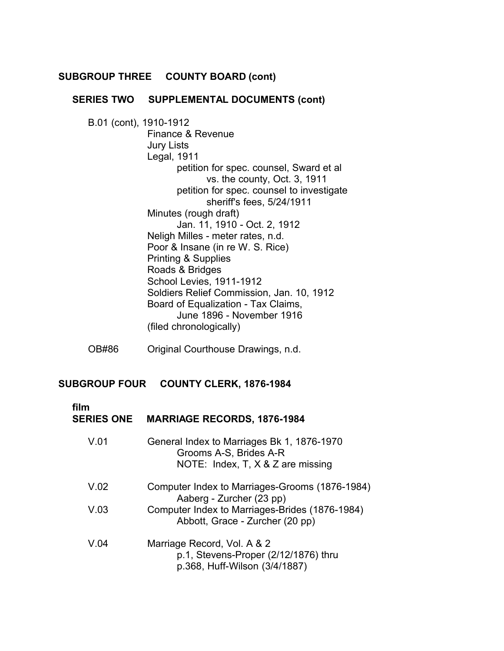#### **SUBGROUP THREE COUNTY BOARD (cont)**

## **SERIES TWO SUPPLEMENTAL DOCUMENTS (cont)**

B.01 (cont), 1910-1912 Finance & Revenue Jury Lists Legal, 1911 petition for spec. counsel, Sward et al vs. the county, Oct. 3, 1911 petition for spec. counsel to investigate sheriff's fees, 5/24/1911 Minutes (rough draft) Jan. 11, 1910 - Oct. 2, 1912 Neligh Milles - meter rates, n.d. Poor & Insane (in re W. S. Rice) Printing & Supplies Roads & Bridges School Levies, 1911-1912 Soldiers Relief Commission, Jan. 10, 1912 Board of Equalization - Tax Claims, June 1896 - November 1916 (filed chronologically)

OB#86 Original Courthouse Drawings, n.d.

#### **SUBGROUP FOUR COUNTY CLERK, 1876-1984**

 **film**

| <b>SERIES ONE</b> | <b>MARRIAGE RECORDS, 1876-1984</b>                                                                              |
|-------------------|-----------------------------------------------------------------------------------------------------------------|
| V.01              | General Index to Marriages Bk 1, 1876-1970<br>Grooms A-S, Brides A-R<br>NOTE: Index, $T$ , $X \& Z$ are missing |
| V.02              | Computer Index to Marriages-Grooms (1876-1984)<br>Aaberg - Zurcher (23 pp)                                      |
| V.03              | Computer Index to Marriages-Brides (1876-1984)<br>Abbott, Grace - Zurcher (20 pp)                               |
| V.04              | Marriage Record, Vol. A & 2<br>p.1, Stevens-Proper (2/12/1876) thru<br>p.368, Huff-Wilson (3/4/1887)            |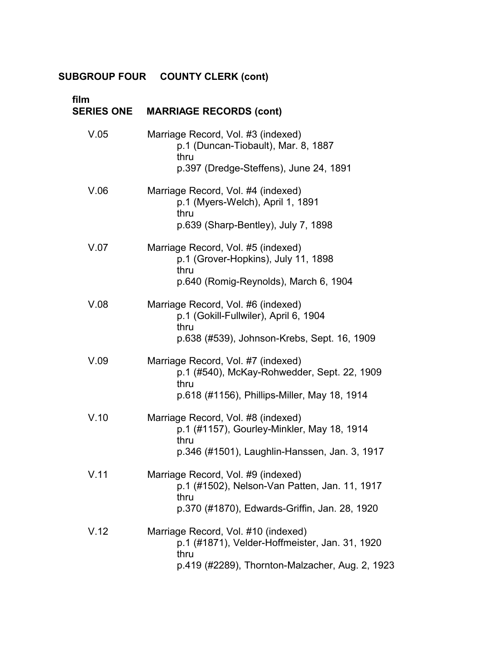| film<br><b>SERIES ONE</b> | <b>MARRIAGE RECORDS (cont)</b>                                                                                                                   |
|---------------------------|--------------------------------------------------------------------------------------------------------------------------------------------------|
| V.05                      | Marriage Record, Vol. #3 (indexed)<br>p.1 (Duncan-Tiobault), Mar. 8, 1887<br>thru<br>p.397 (Dredge-Steffens), June 24, 1891                      |
| V.06                      | Marriage Record, Vol. #4 (indexed)<br>p.1 (Myers-Welch), April 1, 1891<br>thru<br>p.639 (Sharp-Bentley), July 7, 1898                            |
| V.07                      | Marriage Record, Vol. #5 (indexed)<br>p.1 (Grover-Hopkins), July 11, 1898<br>thru<br>p.640 (Romig-Reynolds), March 6, 1904                       |
| V.08                      | Marriage Record, Vol. #6 (indexed)<br>p.1 (Gokill-Fullwiler), April 6, 1904<br>thru<br>p.638 (#539), Johnson-Krebs, Sept. 16, 1909               |
| V.09                      | Marriage Record, Vol. #7 (indexed)<br>p.1 (#540), McKay-Rohwedder, Sept. 22, 1909<br>thru<br>p.618 (#1156), Phillips-Miller, May 18, 1914        |
| V.10                      | Marriage Record, Vol. #8 (indexed)<br>p.1 (#1157), Gourley-Minkler, May 18, 1914<br>thru<br>p.346 (#1501), Laughlin-Hanssen, Jan. 3, 1917        |
| V.11                      | Marriage Record, Vol. #9 (indexed)<br>p.1 (#1502), Nelson-Van Patten, Jan. 11, 1917<br>thru<br>p.370 (#1870), Edwards-Griffin, Jan. 28, 1920     |
| V.12                      | Marriage Record, Vol. #10 (indexed)<br>p.1 (#1871), Velder-Hoffmeister, Jan. 31, 1920<br>thru<br>p.419 (#2289), Thornton-Malzacher, Aug. 2, 1923 |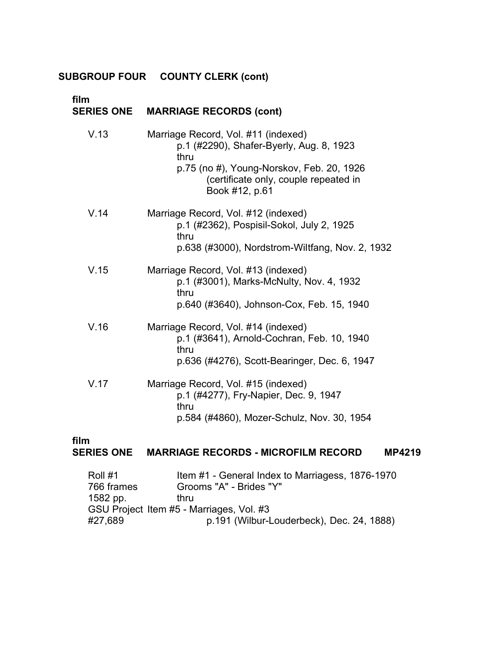| film<br><b>SERIES ONE</b> | <b>MARRIAGE RECORDS (cont)</b>                                                                                                                                                                  |
|---------------------------|-------------------------------------------------------------------------------------------------------------------------------------------------------------------------------------------------|
| V.13                      | Marriage Record, Vol. #11 (indexed)<br>p.1 (#2290), Shafer-Byerly, Aug. 8, 1923<br>thru<br>p.75 (no #), Young-Norskov, Feb. 20, 1926<br>(certificate only, couple repeated in<br>Book #12, p.61 |
| V.14                      | Marriage Record, Vol. #12 (indexed)<br>p.1 (#2362), Pospisil-Sokol, July 2, 1925<br>thru<br>p.638 (#3000), Nordstrom-Wiltfang, Nov. 2, 1932                                                     |
| V.15                      | Marriage Record, Vol. #13 (indexed)<br>p.1 (#3001), Marks-McNulty, Nov. 4, 1932<br>thru<br>p.640 (#3640), Johnson-Cox, Feb. 15, 1940                                                            |
| V.16                      | Marriage Record, Vol. #14 (indexed)<br>p.1 (#3641), Arnold-Cochran, Feb. 10, 1940<br>thru<br>p.636 (#4276), Scott-Bearinger, Dec. 6, 1947                                                       |
| V.17                      | Marriage Record, Vol. #15 (indexed)<br>p.1 (#4277), Fry-Napier, Dec. 9, 1947<br>thru<br>p.584 (#4860), Mozer-Schulz, Nov. 30, 1954                                                              |

## **film**

## **SERIES ONE MARRIAGE RECORDS - MICROFILM RECORD MP4219**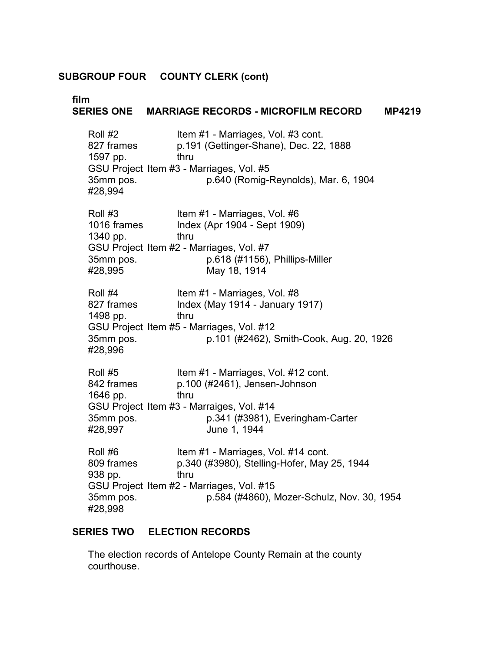| film                                                       | SERIES ONE MARRIAGE RECORDS - MICROFILM RECORD<br><b>MP4219</b>                                                                                                               |
|------------------------------------------------------------|-------------------------------------------------------------------------------------------------------------------------------------------------------------------------------|
| Roll #2                                                    | Item #1 - Marriages, Vol. #3 cont.                                                                                                                                            |
| 827 frames                                                 | p.191 (Gettinger-Shane), Dec. 22, 1888                                                                                                                                        |
| 1597 pp.                                                   | thru                                                                                                                                                                          |
| 35mm pos.                                                  | GSU Project Item #3 - Marriages, Vol. #5                                                                                                                                      |
| #28,994                                                    | p.640 (Romig-Reynolds), Mar. 6, 1904                                                                                                                                          |
| Roll #3<br>1016 frames<br>1340 pp.<br>35mm pos.<br>#28,995 | Item #1 - Marriages, Vol. #6<br>Index (Apr 1904 - Sept 1909)<br>thru<br>GSU Project Item #2 - Marriages, Vol. #7<br>p.618 (#1156), Phillips-Miller<br>May 18, 1914            |
| Roll #4                                                    | Item #1 - Marriages, Vol. #8                                                                                                                                                  |
| 827 frames                                                 | Index (May 1914 - January 1917)                                                                                                                                               |
| 1498 pp.                                                   | thru                                                                                                                                                                          |
| 35mm pos.                                                  | GSU Project Item #5 - Marriages, Vol. #12                                                                                                                                     |
| #28,996                                                    | p.101 (#2462), Smith-Cook, Aug. 20, 1926                                                                                                                                      |
| Roll #5<br>842 frames<br>1646 pp.<br>35mm pos.<br>#28,997  | Item #1 - Marriages, Vol. #12 cont.<br>p.100 (#2461), Jensen-Johnson<br>thru<br>GSU Project Item #3 - Marraiges, Vol. #14<br>p.341 (#3981), Everingham-Carter<br>June 1, 1944 |
| Roll #6                                                    | Item #1 - Marriages, Vol. #14 cont.                                                                                                                                           |
| 809 frames                                                 | p.340 (#3980), Stelling-Hofer, May 25, 1944                                                                                                                                   |
| 938 pp.                                                    | thru                                                                                                                                                                          |
| 35mm pos.                                                  | GSU Project Item #2 - Marriages, Vol. #15                                                                                                                                     |
| #28,998                                                    | p.584 (#4860), Mozer-Schulz, Nov. 30, 1954                                                                                                                                    |

## **SERIES TWO ELECTION RECORDS**

The election records of Antelope County Remain at the county courthouse.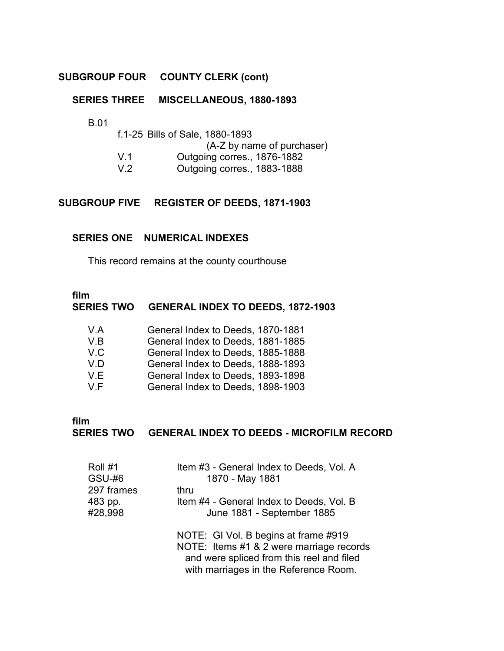## **SERIES THREE MISCELLANEOUS, 1880-1893**

B.01

|                | f.1-25 Bills of Sale, 1880-1893 |
|----------------|---------------------------------|
|                | (A-Z by name of purchaser)      |
| V <sub>1</sub> | Outgoing corres., 1876-1882     |
| V.2            | Outgoing corres., 1883-1888     |

### **SUBGROUP FIVE REGISTER OF DEEDS, 1871-1903**

#### **SERIES ONE NUMERICAL INDEXES**

This record remains at the county courthouse

## **film**

### **SERIES TWO GENERAL INDEX TO DEEDS, 1872-1903**

| V.A | General Index to Deeds, 1870-1881 |
|-----|-----------------------------------|
| V.B | General Index to Deeds, 1881-1885 |
| V.C | General Index to Deeds, 1885-1888 |
| V.D | General Index to Deeds, 1888-1893 |
| V.E | General Index to Deeds, 1893-1898 |
| V F | General Index to Deeds, 1898-1903 |

## **film**

#### **SERIES TWO GENERAL INDEX TO DEEDS - MICROFILM RECORD**

| Roll #1<br><b>GSU-#6</b> | Item #3 - General Index to Deeds, Vol. A<br>1870 - May 1881 |
|--------------------------|-------------------------------------------------------------|
| 297 frames               | thru                                                        |
| 483 pp.                  | Item #4 - General Index to Deeds, Vol. B                    |
| #28,998                  | June 1881 - September 1885                                  |
|                          | NOTE: GI Vol. B begins at frame #919                        |
|                          | NOTE: Items #1 & 2 were marriage records                    |
|                          | and were spliced from this reel and filed                   |
|                          | with marriages in the Reference Room.                       |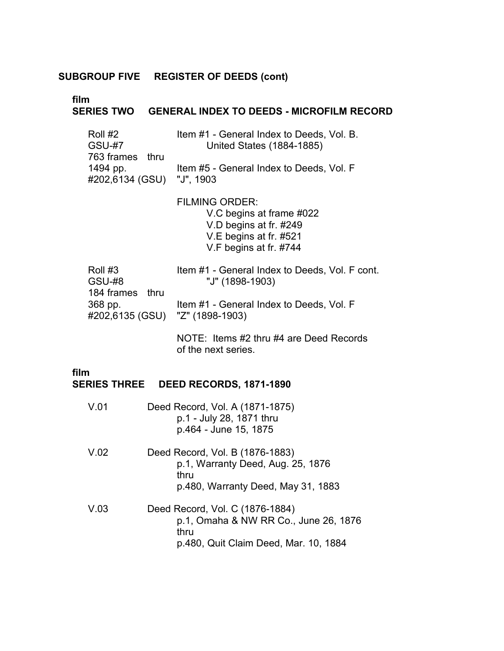**film**

## **SERIES TWO GENERAL INDEX TO DEEDS - MICROFILM RECORD**

| Roll #2                   | Item #1 - General Index to Deeds, Vol. B. |
|---------------------------|-------------------------------------------|
| <b>GSU-#7</b>             | <b>United States (1884-1885)</b>          |
| 763 frames thru           |                                           |
| 1494 pp.                  | Item #5 - General Index to Deeds, Vol. F  |
| #202,6134 (GSU) "J", 1903 |                                           |

FILMING ORDER: V.C begins at frame #022 V.D begins at fr. #249 V.E begins at fr. #521 V.F begins at fr. #744

| Roll #3                         | Item #1 - General Index to Deeds, Vol. F cont. |
|---------------------------------|------------------------------------------------|
| GSU-#8                          | "J" (1898-1903)                                |
| 184 frames thru                 |                                                |
| 368 pp.                         | Item #1 - General Index to Deeds, Vol. F       |
| #202,6135 (GSU) "Z" (1898-1903) |                                                |
|                                 |                                                |

NOTE: Items #2 thru #4 are Deed Records of the next series.

## **film**

## **SERIES THREE DEED RECORDS, 1871-1890**

| V.01 | Deed Record, Vol. A (1871-1875)<br>p.1 - July 28, 1871 thru<br>p.464 - June 15, 1875 |
|------|--------------------------------------------------------------------------------------|
| V.02 | Deed Record, Vol. B (1876-1883)<br>p.1, Warranty Deed, Aug. 25, 1876<br>thru         |
|      | p.480, Warranty Deed, May 31, 1883                                                   |
| V.03 | Deed Record, Vol. C (1876-1884)<br>p.1, Omaha & NW RR Co., June 26, 1876<br>thru     |
|      | p.480, Quit Claim Deed, Mar. 10, 1884                                                |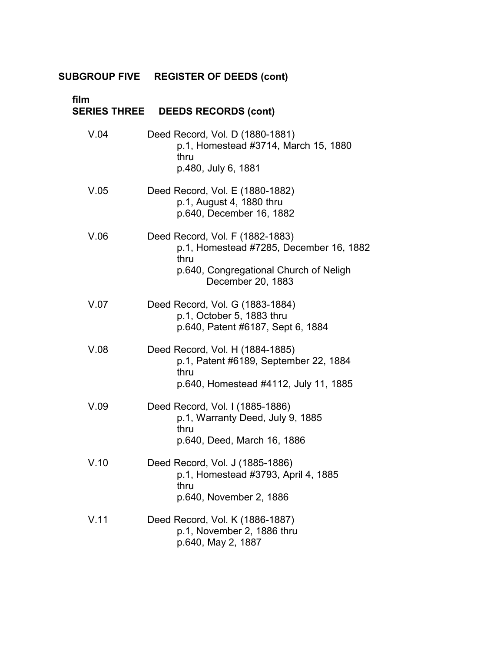| film | SERIES THREE DEEDS RECORDS (cont)                                                                                                                 |
|------|---------------------------------------------------------------------------------------------------------------------------------------------------|
| V.04 | Deed Record, Vol. D (1880-1881)<br>p.1, Homestead #3714, March 15, 1880<br>thru<br>p.480, July 6, 1881                                            |
| V.05 | Deed Record, Vol. E (1880-1882)<br>p.1, August 4, 1880 thru<br>p.640, December 16, 1882                                                           |
| V.06 | Deed Record, Vol. F (1882-1883)<br>p.1, Homestead #7285, December 16, 1882<br>thru<br>p.640, Congregational Church of Neligh<br>December 20, 1883 |
| V.07 | Deed Record, Vol. G (1883-1884)<br>p.1, October 5, 1883 thru<br>p.640, Patent #6187, Sept 6, 1884                                                 |
| V.08 | Deed Record, Vol. H (1884-1885)<br>p.1, Patent #6189, September 22, 1884<br>thru<br>p.640, Homestead #4112, July 11, 1885                         |
| V.09 | Deed Record, Vol. I (1885-1886)<br>p.1, Warranty Deed, July 9, 1885<br>thru<br>p.640, Deed, March 16, 1886                                        |
| V.10 | Deed Record, Vol. J (1885-1886)<br>p.1, Homestead #3793, April 4, 1885<br>thru<br>p.640, November 2, 1886                                         |
| V.11 | Deed Record, Vol. K (1886-1887)<br>p.1, November 2, 1886 thru<br>p.640, May 2, 1887                                                               |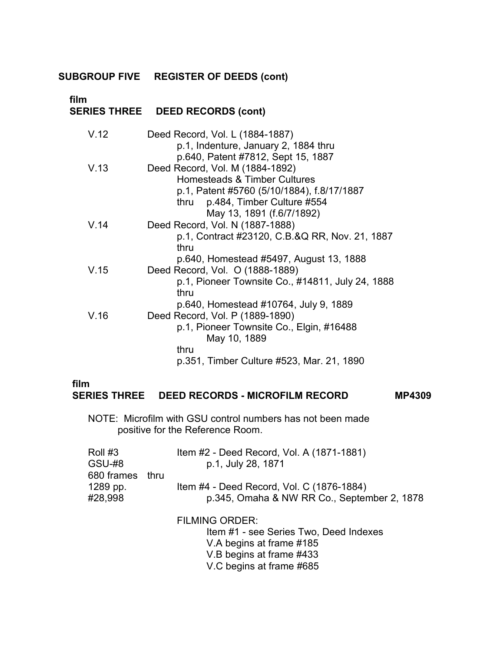# **film**

## **SERIES THREE DEED RECORDS (cont)**

| V.12 | Deed Record, Vol. L (1884-1887)<br>p.1, Indenture, January 2, 1884 thru<br>p.640, Patent #7812, Sept 15, 1887                                       |
|------|-----------------------------------------------------------------------------------------------------------------------------------------------------|
| V.13 | Deed Record, Vol. M (1884-1892)<br>Homesteads & Timber Cultures<br>p.1, Patent #5760 (5/10/1884), f.8/17/1887<br>p.484, Timber Culture #554<br>thru |
| V.14 | May 13, 1891 (f.6/7/1892)<br>Deed Record, Vol. N (1887-1888)                                                                                        |
|      | p.1, Contract #23120, C.B.&Q RR, Nov. 21, 1887<br>thru                                                                                              |
|      | p.640, Homestead #5497, August 13, 1888                                                                                                             |
| V.15 | Deed Record, Vol. O (1888-1889)                                                                                                                     |
|      | p.1, Pioneer Townsite Co., #14811, July 24, 1888<br>thru                                                                                            |
|      | p.640, Homestead #10764, July 9, 1889                                                                                                               |
| V.16 | Deed Record, Vol. P (1889-1890)                                                                                                                     |
|      | p.1, Pioneer Townsite Co., Elgin, #16488<br>May 10, 1889                                                                                            |
|      | thru                                                                                                                                                |
|      | p.351, Timber Culture #523, Mar. 21, 1890                                                                                                           |

#### **film**

#### **SERIES THREE DEED RECORDS - MICROFILM RECORD MP4309**

NOTE: Microfilm with GSU control numbers has not been made positive for the Reference Room.

| Roll #3         | Item #2 - Deed Record, Vol. A (1871-1881)   |
|-----------------|---------------------------------------------|
| GSU-#8          | p.1, July 28, 1871                          |
| 680 frames thru |                                             |
| 1289 pp.        | Item #4 - Deed Record, Vol. C (1876-1884)   |
| #28,998         | p.345, Omaha & NW RR Co., September 2, 1878 |
|                 |                                             |

FILMING ORDER:

Item #1 - see Series Two, Deed Indexes V.A begins at frame #185 V.B begins at frame #433 V.C begins at frame #685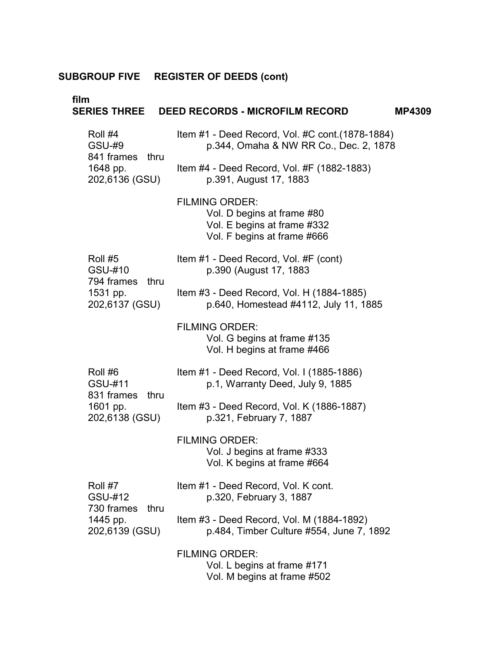| film                                             | SERIES THREE DEED RECORDS - MICROFILM RECORD                                                                      | <b>MP4309</b> |
|--------------------------------------------------|-------------------------------------------------------------------------------------------------------------------|---------------|
| Roll #4<br><b>GSU-#9</b>                         | Item #1 - Deed Record, Vol. #C cont. (1878-1884)<br>p.344, Omaha & NW RR Co., Dec. 2, 1878                        |               |
| 841 frames thru<br>1648 pp.<br>202,6136 (GSU)    | Item #4 - Deed Record, Vol. #F $(1882-1883)$<br>p.391, August 17, 1883                                            |               |
|                                                  | <b>FILMING ORDER:</b><br>Vol. D begins at frame #80<br>Vol. E begins at frame #332<br>Vol. F begins at frame #666 |               |
| Roll #5<br>GSU-#10                               | Item #1 - Deed Record, Vol. #F (cont)<br>p.390 (August 17, 1883)                                                  |               |
| 794 frames<br>thru<br>1531 pp.<br>202,6137 (GSU) | Item #3 - Deed Record, Vol. H (1884-1885)<br>p.640, Homestead #4112, July 11, 1885                                |               |
|                                                  | <b>FILMING ORDER:</b><br>Vol. G begins at frame #135<br>Vol. H begins at frame #466                               |               |
| Roll #6<br>GSU-#11                               | Item #1 - Deed Record, Vol. I (1885-1886)<br>p.1, Warranty Deed, July 9, 1885                                     |               |
| 831 frames<br>thru<br>1601 pp.<br>202,6138 (GSU) | Item #3 - Deed Record, Vol. K (1886-1887)<br>p.321, February 7, 1887                                              |               |
|                                                  | <b>FILMING ORDER:</b><br>Vol. J begins at frame #333<br>Vol. K begins at frame #664                               |               |
| Roll #7<br>GSU-#12                               | Item #1 - Deed Record, Vol. K cont.<br>p.320, February 3, 1887                                                    |               |
| 730 frames<br>thru<br>1445 pp.<br>202,6139 (GSU) | Item #3 - Deed Record, Vol. M (1884-1892)<br>p.484, Timber Culture #554, June 7, 1892                             |               |
|                                                  | <b>FILMING ORDER:</b><br>Vol. L begins at frame #171<br>Vol. M begins at frame #502                               |               |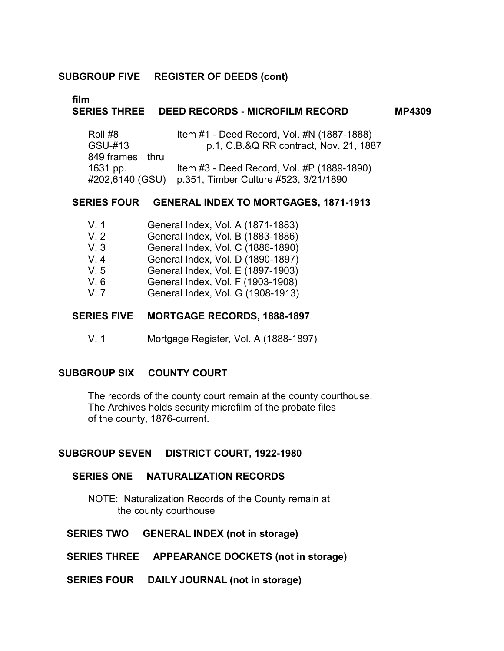## **film**

#### **SERIES THREE DEED RECORDS - MICROFILM RECORD MP4309**

| Roll #8         | Item #1 - Deed Record, Vol. #N (1887-1888) |
|-----------------|--------------------------------------------|
| GSU-#13         | p.1, C.B.&Q RR contract, Nov. 21, 1887     |
| 849 frames thru |                                            |
| 1631 pp.        | Item #3 - Deed Record, Vol. #P (1889-1890) |
| #202,6140 (GSU) | p.351, Timber Culture #523, 3/21/1890      |

#### **SERIES FOUR GENERAL INDEX TO MORTGAGES, 1871-1913**

| V.1      |  | General Index, Vol. A (1871-1883) |  |
|----------|--|-----------------------------------|--|
| $\cdots$ |  |                                   |  |

- V. 2 General Index, Vol. B (1883-1886)
- V. 3 General Index, Vol. C (1886-1890)
- V. 4 General Index, Vol. D (1890-1897)
- V. 5 General Index, Vol. E (1897-1903)
- V. 6 General Index, Vol. F (1903-1908)
- V. 7 General Index, Vol. G (1908-1913)

#### **SERIES FIVE MORTGAGE RECORDS, 1888-1897**

V. 1 Mortgage Register, Vol. A (1888-1897)

#### **SUBGROUP SIX COUNTY COURT**

The records of the county court remain at the county courthouse. The Archives holds security microfilm of the probate files of the county, 1876-current.

#### **SUBGROUP SEVEN DISTRICT COURT, 1922-1980**

#### **SERIES ONE NATURALIZATION RECORDS**

NOTE: Naturalization Records of the County remain at the county courthouse

#### **SERIES TWO GENERAL INDEX (not in storage)**

**SERIES THREE APPEARANCE DOCKETS (not in storage)** 

**SERIES FOUR DAILY JOURNAL (not in storage)**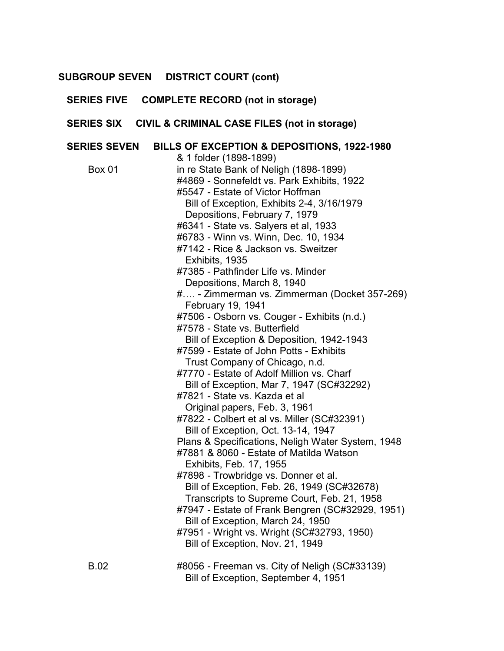## **SUBGROUP SEVEN DISTRICT COURT (cont)**

|                     | SERIES FIVE COMPLETE RECORD (not in storage)                                                                                                                                                                                                                                                                                                                                                                                                                                                                                                                                                                                                                                                                                                                                                                                                                                                                                                                                                                                                                                                                                                                                                                                                                                                                                                                                             |
|---------------------|------------------------------------------------------------------------------------------------------------------------------------------------------------------------------------------------------------------------------------------------------------------------------------------------------------------------------------------------------------------------------------------------------------------------------------------------------------------------------------------------------------------------------------------------------------------------------------------------------------------------------------------------------------------------------------------------------------------------------------------------------------------------------------------------------------------------------------------------------------------------------------------------------------------------------------------------------------------------------------------------------------------------------------------------------------------------------------------------------------------------------------------------------------------------------------------------------------------------------------------------------------------------------------------------------------------------------------------------------------------------------------------|
|                     | SERIES SIX CIVIL & CRIMINAL CASE FILES (not in storage)                                                                                                                                                                                                                                                                                                                                                                                                                                                                                                                                                                                                                                                                                                                                                                                                                                                                                                                                                                                                                                                                                                                                                                                                                                                                                                                                  |
| <b>SERIES SEVEN</b> | BILLS OF EXCEPTION & DEPOSITIONS, 1922-1980                                                                                                                                                                                                                                                                                                                                                                                                                                                                                                                                                                                                                                                                                                                                                                                                                                                                                                                                                                                                                                                                                                                                                                                                                                                                                                                                              |
| <b>Box 01</b>       | & 1 folder (1898-1899)<br>in re State Bank of Neligh (1898-1899)<br>#4869 - Sonnefeldt vs. Park Exhibits, 1922<br>#5547 - Estate of Victor Hoffman<br>Bill of Exception, Exhibits 2-4, 3/16/1979<br>Depositions, February 7, 1979<br>#6341 - State vs. Salyers et al, 1933<br>#6783 - Winn vs. Winn, Dec. 10, 1934<br>#7142 - Rice & Jackson vs. Sweitzer<br>Exhibits, 1935<br>#7385 - Pathfinder Life vs. Minder<br>Depositions, March 8, 1940<br># - Zimmerman vs. Zimmerman (Docket 357-269)<br>February 19, 1941<br>#7506 - Osborn vs. Couger - Exhibits (n.d.)<br>#7578 - State vs. Butterfield<br>Bill of Exception & Deposition, 1942-1943<br>#7599 - Estate of John Potts - Exhibits<br>Trust Company of Chicago, n.d.<br>#7770 - Estate of Adolf Million vs. Charf<br>Bill of Exception, Mar 7, 1947 (SC#32292)<br>#7821 - State vs. Kazda et al<br>Original papers, Feb. 3, 1961<br>#7822 - Colbert et al vs. Miller (SC#32391)<br>Bill of Exception, Oct. 13-14, 1947<br>Plans & Specifications, Neligh Water System, 1948<br>#7881 & 8060 - Estate of Matilda Watson<br>Exhibits, Feb. 17, 1955<br>#7898 - Trowbridge vs. Donner et al.<br>Bill of Exception, Feb. 26, 1949 (SC#32678)<br>Transcripts to Supreme Court, Feb. 21, 1958<br>#7947 - Estate of Frank Bengren (SC#32929, 1951)<br>Bill of Exception, March 24, 1950<br>#7951 - Wright vs. Wright (SC#32793, 1950) |
| <b>B.02</b>         | Bill of Exception, Nov. 21, 1949<br>#8056 - Freeman vs. City of Neligh (SC#33139)<br>Bill of Exception, September 4, 1951                                                                                                                                                                                                                                                                                                                                                                                                                                                                                                                                                                                                                                                                                                                                                                                                                                                                                                                                                                                                                                                                                                                                                                                                                                                                |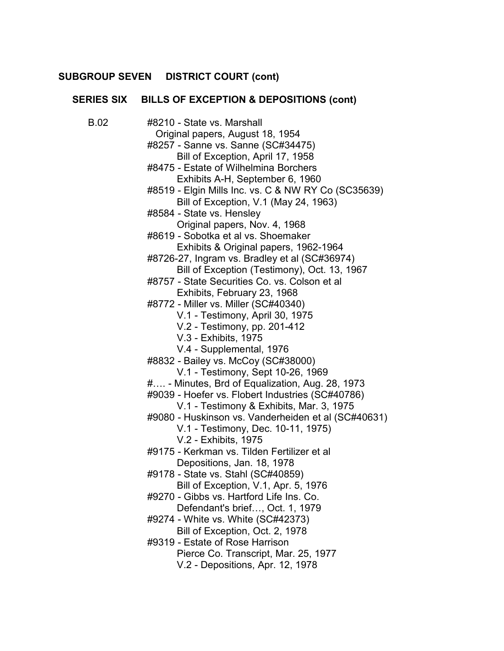## **SUBGROUP SEVEN DISTRICT COURT (cont)**

|             | SERIES SIX BILLS OF EXCEPTION & DEPOSITIONS (cont)                                                                                                                                                                                                                                                                                                                                                                                                                                                                                                                                                                                                                                                                                                                                                                                                                                                                                                                                                                                                                                                                                                                                                                                                                                                                                                                                                                                                      |
|-------------|---------------------------------------------------------------------------------------------------------------------------------------------------------------------------------------------------------------------------------------------------------------------------------------------------------------------------------------------------------------------------------------------------------------------------------------------------------------------------------------------------------------------------------------------------------------------------------------------------------------------------------------------------------------------------------------------------------------------------------------------------------------------------------------------------------------------------------------------------------------------------------------------------------------------------------------------------------------------------------------------------------------------------------------------------------------------------------------------------------------------------------------------------------------------------------------------------------------------------------------------------------------------------------------------------------------------------------------------------------------------------------------------------------------------------------------------------------|
| <b>B.02</b> | #8210 - State vs. Marshall<br>Original papers, August 18, 1954<br>#8257 - Sanne vs. Sanne (SC#34475)<br>Bill of Exception, April 17, 1958<br>#8475 - Estate of Wilhelmina Borchers<br>Exhibits A-H, September 6, 1960<br>#8519 - Elgin Mills Inc. vs. C & NW RY Co (SC35639)<br>Bill of Exception, V.1 (May 24, 1963)<br>#8584 - State vs. Hensley<br>Original papers, Nov. 4, 1968<br>#8619 - Sobotka et al vs. Shoemaker<br>Exhibits & Original papers, 1962-1964<br>#8726-27, Ingram vs. Bradley et al (SC#36974)<br>Bill of Exception (Testimony), Oct. 13, 1967<br>#8757 - State Securities Co. vs. Colson et al<br>Exhibits, February 23, 1968<br>#8772 - Miller vs. Miller (SC#40340)<br>V.1 - Testimony, April 30, 1975<br>V.2 - Testimony, pp. 201-412<br>V.3 - Exhibits, 1975<br>V.4 - Supplemental, 1976<br>#8832 - Bailey vs. McCoy (SC#38000)<br>V.1 - Testimony, Sept 10-26, 1969<br># - Minutes, Brd of Equalization, Aug. 28, 1973<br>#9039 - Hoefer vs. Flobert Industries (SC#40786)<br>V.1 - Testimony & Exhibits, Mar. 3, 1975<br>#9080 - Huskinson vs. Vanderheiden et al (SC#40631)<br>V.1 - Testimony, Dec. 10-11, 1975)<br>V.2 - Exhibits, 1975<br>#9175 - Kerkman vs. Tilden Fertilizer et al<br>Depositions, Jan. 18, 1978<br>#9178 - State vs. Stahl (SC#40859)<br>Bill of Exception, V.1, Apr. 5, 1976<br>#9270 - Gibbs vs. Hartford Life Ins. Co.<br>Defendant's brief, Oct. 1, 1979<br>#9274 - White vs. White (SC#42373) |
|             | Bill of Exception, Oct. 2, 1978<br>#9319 - Estate of Rose Harrison<br>Pierce Co. Transcript, Mar. 25, 1977<br>V.2 - Depositions, Apr. 12, 1978                                                                                                                                                                                                                                                                                                                                                                                                                                                                                                                                                                                                                                                                                                                                                                                                                                                                                                                                                                                                                                                                                                                                                                                                                                                                                                          |